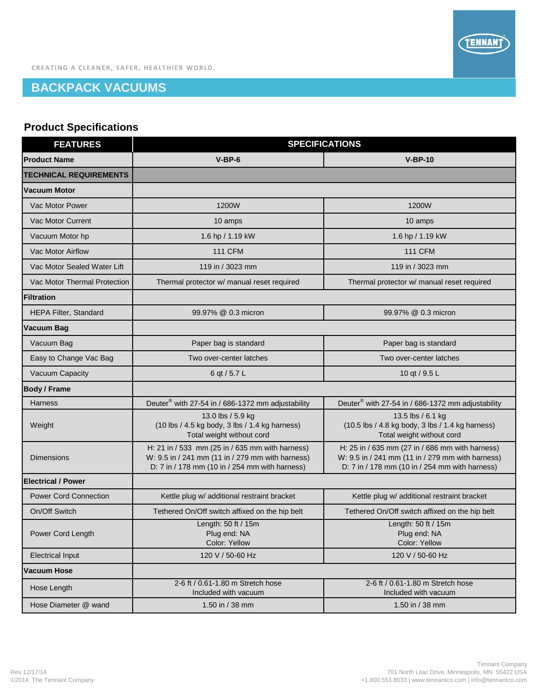

## **BACKPACK VACUUMS**

## **Product Specifications**

| <b>FEATURES</b>               | <b>SPECIFICATIONS</b>                                                                                                                                 |                                                                                                                                                       |
|-------------------------------|-------------------------------------------------------------------------------------------------------------------------------------------------------|-------------------------------------------------------------------------------------------------------------------------------------------------------|
| <b>Product Name</b>           | $V-BP-6$                                                                                                                                              | $V-BP-10$                                                                                                                                             |
| <b>TECHNICAL REQUIREMENTS</b> |                                                                                                                                                       |                                                                                                                                                       |
| Vacuum Motor                  |                                                                                                                                                       |                                                                                                                                                       |
| Vac Motor Power               | 1200W                                                                                                                                                 | 1200W                                                                                                                                                 |
| Vac Motor Current             | 10 amps                                                                                                                                               | 10 amps                                                                                                                                               |
| Vacuum Motor hp               | 1.6 hp / 1.19 kW                                                                                                                                      | 1.6 hp / 1.19 kW                                                                                                                                      |
| Vac Motor Airflow             | <b>111 CFM</b>                                                                                                                                        | <b>111 CFM</b>                                                                                                                                        |
| Vac Motor Sealed Water Lift   | 119 in / 3023 mm                                                                                                                                      | 119 in / 3023 mm                                                                                                                                      |
| Vac Motor Thermal Protection  | Thermal protector w/ manual reset required                                                                                                            | Thermal protector w/ manual reset required                                                                                                            |
| Filtration                    |                                                                                                                                                       |                                                                                                                                                       |
| <b>HEPA Filter, Standard</b>  | 99.97% @ 0.3 micron                                                                                                                                   | 99.97% @ 0.3 micron                                                                                                                                   |
| Vacuum Bag                    |                                                                                                                                                       |                                                                                                                                                       |
| Vacuum Bag                    | Paper bag is standard                                                                                                                                 | Paper bag is standard                                                                                                                                 |
| Easy to Change Vac Bag        | Two over-center latches                                                                                                                               | Two over-center latches                                                                                                                               |
| Vacuum Capacity               | 6 qt / 5.7 L                                                                                                                                          | 10 qt / 9.5 L                                                                                                                                         |
| <b>Body / Frame</b>           |                                                                                                                                                       |                                                                                                                                                       |
| <b>Harness</b>                | Deuter <sup>®</sup> with 27-54 in / 686-1372 mm adjustability                                                                                         | Deuter <sup>®</sup> with 27-54 in / 686-1372 mm adjustability                                                                                         |
| Weight                        | 13.0 lbs / 5.9 kg<br>(10 lbs / 4.5 kg body, 3 lbs / 1.4 kg harness)<br>Total weight without cord                                                      | 13.5 lbs / 6.1 kg<br>(10.5 lbs / 4.8 kg body, 3 lbs / 1.4 kg harness)<br>Total weight without cord                                                    |
| <b>Dimensions</b>             | H: 21 in / 533 mm (25 in / 635 mm with harness)<br>W: 9.5 in / 241 mm (11 in / 279 mm with harness)<br>D: 7 in / 178 mm (10 in / 254 mm with harness) | H: 25 in / 635 mm (27 in / 686 mm with harness)<br>W: 9.5 in / 241 mm (11 in / 279 mm with harness)<br>D: 7 in / 178 mm (10 in / 254 mm with harness) |
| <b>Electrical / Power</b>     |                                                                                                                                                       |                                                                                                                                                       |
| <b>Power Cord Connection</b>  | Kettle plug w/ additional restraint bracket                                                                                                           | Kettle plug w/ additional restraint bracket                                                                                                           |
| On/Off Switch                 | Tethered On/Off switch affixed on the hip belt                                                                                                        | Tethered On/Off switch affixed on the hip belt                                                                                                        |
| Power Cord Length             | Length: 50 ft / 15m<br>Plug end: NA<br>Color: Yellow                                                                                                  | Length: 50 ft / 15m<br>Plug end: NA<br>Color: Yellow                                                                                                  |
| <b>Electrical Input</b>       | 120 V / 50-60 Hz                                                                                                                                      | 120 V / 50-60 Hz                                                                                                                                      |
| Vacuum Hose                   |                                                                                                                                                       |                                                                                                                                                       |
| Hose Length                   | 2-6 ft / 0.61-1.80 m Stretch hose<br>Included with vacuum                                                                                             | 2-6 ft / 0.61-1.80 m Stretch hose<br>Included with vacuum                                                                                             |
| Hose Diameter @ wand          | 1.50 in / 38 mm                                                                                                                                       | 1.50 in / 38 mm                                                                                                                                       |